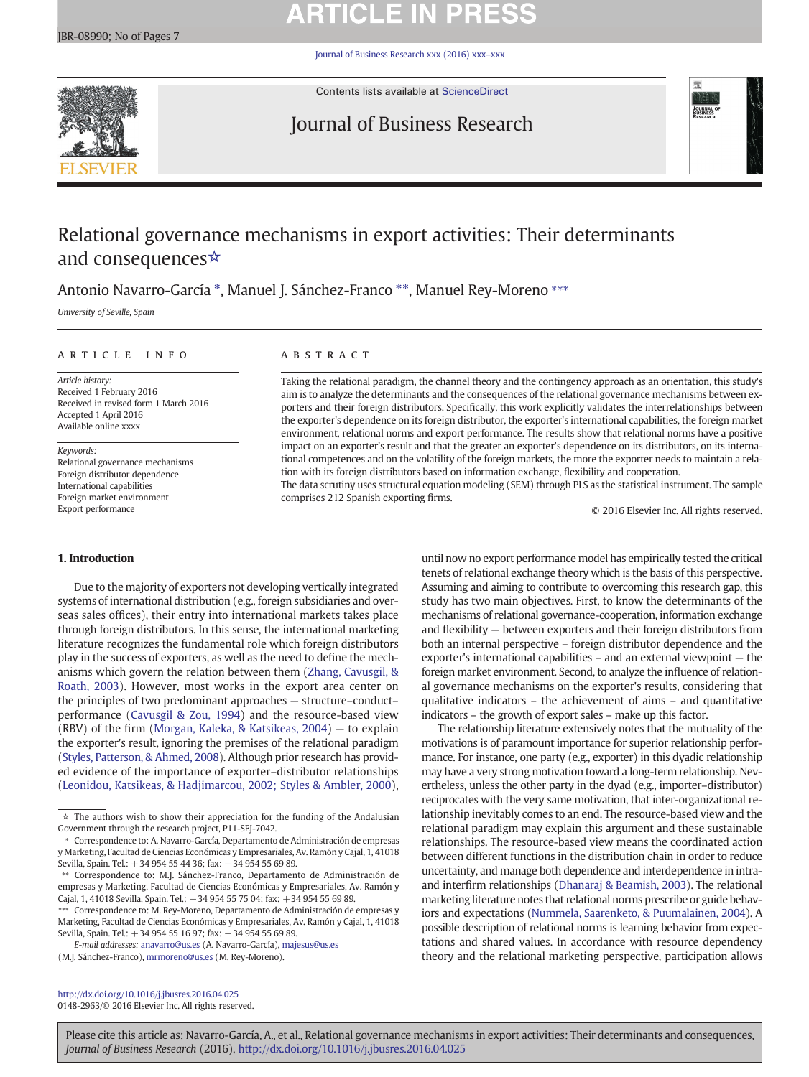# **ARTICLE IN PRESS**

[Journal of Business Research xxx \(2016\) xxx](http://dx.doi.org/10.1016/j.jbusres.2016.04.025)–xxx



Contents lists available at [ScienceDirect](http://www.sciencedirect.com/science/journal/01482963)

## Journal of Business Research



## Relational governance mechanisms in export activities: Their determinants and consequences☆

Antonio Navarro-García \*, Manuel J. Sánchez-Franco \*\*, Manuel Rey-Moreno \*\*\*

University of Seville, Spain

#### article info abstract

Article history: Received 1 February 2016 Received in revised form 1 March 2016 Accepted 1 April 2016 Available online xxxx

Keywords:

Relational governance mechanisms Foreign distributor dependence International capabilities Foreign market environment Export performance

Taking the relational paradigm, the channel theory and the contingency approach as an orientation, this study's aim is to analyze the determinants and the consequences of the relational governance mechanisms between exporters and their foreign distributors. Specifically, this work explicitly validates the interrelationships between the exporter's dependence on its foreign distributor, the exporter's international capabilities, the foreign market environment, relational norms and export performance. The results show that relational norms have a positive impact on an exporter's result and that the greater an exporter's dependence on its distributors, on its international competences and on the volatility of the foreign markets, the more the exporter needs to maintain a relation with its foreign distributors based on information exchange, flexibility and cooperation.

The data scrutiny uses structural equation modeling (SEM) through PLS as the statistical instrument. The sample comprises 212 Spanish exporting firms.

© 2016 Elsevier Inc. All rights reserved.

#### 1. Introduction

Due to the majority of exporters not developing vertically integrated systems of international distribution (e.g., foreign subsidiaries and overseas sales offices), their entry into international markets takes place through foreign distributors. In this sense, the international marketing literature recognizes the fundamental role which foreign distributors play in the success of exporters, as well as the need to define the mechanisms which govern the relation between them ([Zhang, Cavusgil, &](#page-6-0) [Roath, 2003\)](#page-6-0). However, most works in the export area center on the principles of two predominant approaches — structure–conduct– performance [\(Cavusgil & Zou, 1994\)](#page-6-0) and the resource-based view (RBV) of the firm [\(Morgan, Kaleka, & Katsikeas, 2004](#page-6-0)) — to explain the exporter's result, ignoring the premises of the relational paradigm [\(Styles, Patterson, & Ahmed, 2008](#page-6-0)). Although prior research has provided evidence of the importance of exporter–distributor relationships [\(Leonidou, Katsikeas, & Hadjimarcou, 2002; Styles & Ambler, 2000](#page-6-0)),

Correspondence to: M. Rey-Moreno, Departamento de Administración de empresas y Marketing, Facultad de Ciencias Económicas y Empresariales, Av. Ramón y Cajal, 1, 41018 Sevilla, Spain. Tel.: +34 954 55 16 97; fax: +34 954 55 69 89.

E-mail addresses: anavarro@us.es (A. Navarro-García), majesus@us.es (M.J. Sánchez-Franco), [mrmoreno@us.es](mailto:mrmoreno@us.es) (M. Rey-Moreno).

until now no export performance model has empirically tested the critical tenets of relational exchange theory which is the basis of this perspective. Assuming and aiming to contribute to overcoming this research gap, this study has two main objectives. First, to know the determinants of the mechanisms of relational governance-cooperation, information exchange and flexibility — between exporters and their foreign distributors from both an internal perspective – foreign distributor dependence and the exporter's international capabilities – and an external viewpoint — the foreign market environment. Second, to analyze the influence of relational governance mechanisms on the exporter's results, considering that qualitative indicators – the achievement of aims – and quantitative indicators – the growth of export sales – make up this factor.

The relationship literature extensively notes that the mutuality of the motivations is of paramount importance for superior relationship performance. For instance, one party (e.g., exporter) in this dyadic relationship may have a very strong motivation toward a long-term relationship. Nevertheless, unless the other party in the dyad (e.g., importer–distributor) reciprocates with the very same motivation, that inter-organizational relationship inevitably comes to an end. The resource-based view and the relational paradigm may explain this argument and these sustainable relationships. The resource-based view means the coordinated action between different functions in the distribution chain in order to reduce uncertainty, and manage both dependence and interdependence in intraand interfirm relationships [\(Dhanaraj & Beamish, 2003](#page-6-0)). The relational marketing literature notes that relational norms prescribe or guide behaviors and expectations ([Nummela, Saarenketo, & Puumalainen, 2004](#page-6-0)). A possible description of relational norms is learning behavior from expectations and shared values. In accordance with resource dependency theory and the relational marketing perspective, participation allows

<http://dx.doi.org/10.1016/j.jbusres.2016.04.025> 0148-2963/© 2016 Elsevier Inc. All rights reserved.

 $\star$  The authors wish to show their appreciation for the funding of the Andalusian Government through the research project, P11-SEJ-7042.

<sup>⁎</sup> Correspondence to: A. Navarro-García, Departamento de Administración de empresas y Marketing, Facultad de Ciencias Económicas y Empresariales, Av. Ramón y Cajal, 1, 41018 Sevilla, Spain. Tel.: +34 954 55 44 36; fax: +34 954 55 69 89.

<sup>⁎⁎</sup> Correspondence to: M.J. Sánchez-Franco, Departamento de Administración de empresas y Marketing, Facultad de Ciencias Económicas y Empresariales, Av. Ramón y Cajal, 1, 41018 Sevilla, Spain. Tel.: +34 954 55 75 04; fax: +34 954 55 69 89.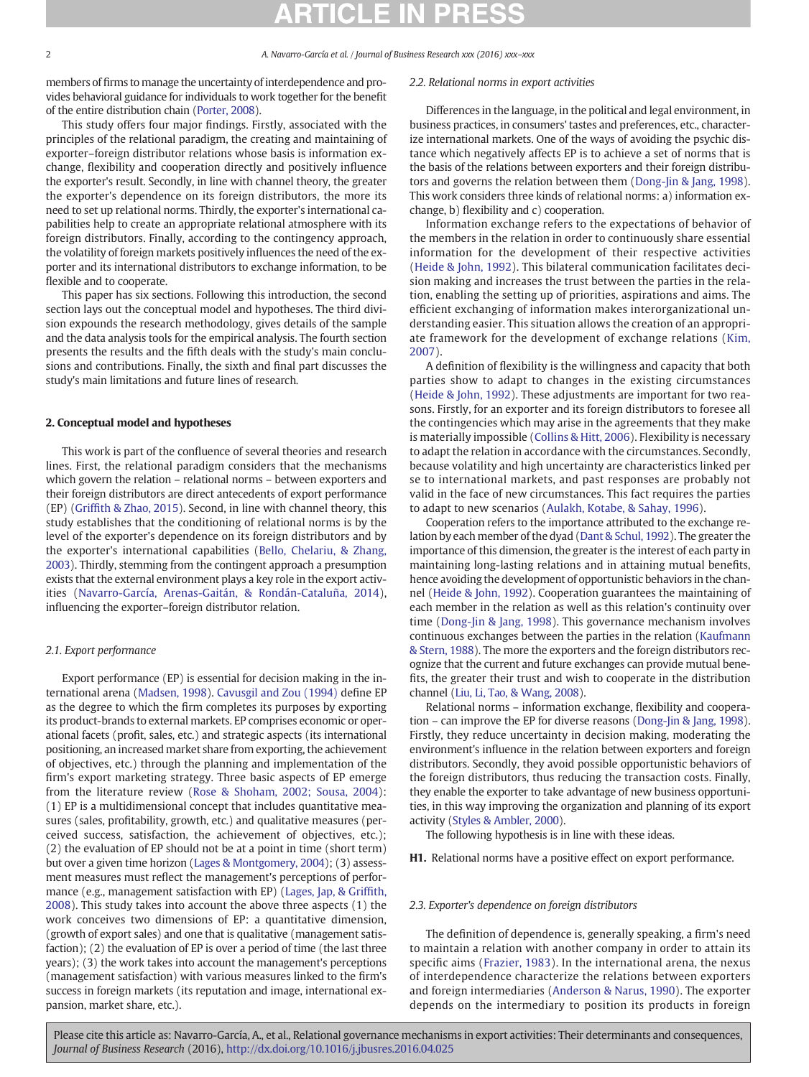<span id="page-1-0"></span>

members of firms to manage the uncertainty of interdependence and provides behavioral guidance for individuals to work together for the benefit of the entire distribution chain [\(Porter, 2008\)](#page-6-0).

This study offers four major findings. Firstly, associated with the principles of the relational paradigm, the creating and maintaining of exporter–foreign distributor relations whose basis is information exchange, flexibility and cooperation directly and positively influence the exporter's result. Secondly, in line with channel theory, the greater the exporter's dependence on its foreign distributors, the more its need to set up relational norms. Thirdly, the exporter's international capabilities help to create an appropriate relational atmosphere with its foreign distributors. Finally, according to the contingency approach, the volatility of foreign markets positively influences the need of the exporter and its international distributors to exchange information, to be flexible and to cooperate.

This paper has six sections. Following this introduction, the second section lays out the conceptual model and hypotheses. The third division expounds the research methodology, gives details of the sample and the data analysis tools for the empirical analysis. The fourth section presents the results and the fifth deals with the study's main conclusions and contributions. Finally, the sixth and final part discusses the study's main limitations and future lines of research.

### 2. Conceptual model and hypotheses

This work is part of the confluence of several theories and research lines. First, the relational paradigm considers that the mechanisms which govern the relation – relational norms – between exporters and their foreign distributors are direct antecedents of export performance (EP) (Griffi[th & Zhao, 2015](#page-6-0)). Second, in line with channel theory, this study establishes that the conditioning of relational norms is by the level of the exporter's dependence on its foreign distributors and by the exporter's international capabilities ([Bello, Chelariu, & Zhang,](#page-5-0) [2003\)](#page-5-0). Thirdly, stemming from the contingent approach a presumption exists that the external environment plays a key role in the export activities ([Navarro-García, Arenas-Gaitán, & Rondán-Cataluña, 2014](#page-6-0)), influencing the exporter–foreign distributor relation.

### 2.1. Export performance

Export performance (EP) is essential for decision making in the international arena ([Madsen, 1998](#page-6-0)). [Cavusgil and Zou \(1994\)](#page-6-0) define EP as the degree to which the firm completes its purposes by exporting its product-brands to external markets. EP comprises economic or operational facets (profit, sales, etc.) and strategic aspects (its international positioning, an increased market share from exporting, the achievement of objectives, etc.) through the planning and implementation of the firm's export marketing strategy. Three basic aspects of EP emerge from the literature review [\(Rose & Shoham, 2002; Sousa, 2004](#page-6-0)): (1) EP is a multidimensional concept that includes quantitative measures (sales, profitability, growth, etc.) and qualitative measures (perceived success, satisfaction, the achievement of objectives, etc.); (2) the evaluation of EP should not be at a point in time (short term) but over a given time horizon ([Lages & Montgomery, 2004](#page-6-0)); (3) assessment measures must reflect the management's perceptions of performance (e.g., management satisfaction with EP) ([Lages, Jap, & Grif](#page-6-0)fith, [2008](#page-6-0)). This study takes into account the above three aspects (1) the work conceives two dimensions of EP: a quantitative dimension, (growth of export sales) and one that is qualitative (management satisfaction); (2) the evaluation of EP is over a period of time (the last three years); (3) the work takes into account the management's perceptions (management satisfaction) with various measures linked to the firm's success in foreign markets (its reputation and image, international expansion, market share, etc.).

### 2.2. Relational norms in export activities

Differences in the language, in the political and legal environment, in business practices, in consumers' tastes and preferences, etc., characterize international markets. One of the ways of avoiding the psychic distance which negatively affects EP is to achieve a set of norms that is the basis of the relations between exporters and their foreign distributors and governs the relation between them ([Dong-Jin & Jang, 1998](#page-6-0)). This work considers three kinds of relational norms: a) information exchange, b) flexibility and c) cooperation.

Information exchange refers to the expectations of behavior of the members in the relation in order to continuously share essential information for the development of their respective activities [\(Heide & John, 1992\)](#page-6-0). This bilateral communication facilitates decision making and increases the trust between the parties in the relation, enabling the setting up of priorities, aspirations and aims. The efficient exchanging of information makes interorganizational understanding easier. This situation allows the creation of an appropriate framework for the development of exchange relations [\(Kim,](#page-6-0) [2007](#page-6-0)).

A definition of flexibility is the willingness and capacity that both parties show to adapt to changes in the existing circumstances [\(Heide & John, 1992](#page-6-0)). These adjustments are important for two reasons. Firstly, for an exporter and its foreign distributors to foresee all the contingencies which may arise in the agreements that they make is materially impossible ([Collins & Hitt, 2006\)](#page-6-0). Flexibility is necessary to adapt the relation in accordance with the circumstances. Secondly, because volatility and high uncertainty are characteristics linked per se to international markets, and past responses are probably not valid in the face of new circumstances. This fact requires the parties to adapt to new scenarios ([Aulakh, Kotabe, & Sahay, 1996\)](#page-5-0).

Cooperation refers to the importance attributed to the exchange relation by each member of the dyad [\(Dant & Schul, 1992\)](#page-6-0). The greater the importance of this dimension, the greater is the interest of each party in maintaining long-lasting relations and in attaining mutual benefits, hence avoiding the development of opportunistic behaviors in the channel ([Heide & John, 1992\)](#page-6-0). Cooperation guarantees the maintaining of each member in the relation as well as this relation's continuity over time ([Dong-Jin & Jang, 1998](#page-6-0)). This governance mechanism involves continuous exchanges between the parties in the relation ([Kaufmann](#page-6-0) [& Stern, 1988\)](#page-6-0). The more the exporters and the foreign distributors recognize that the current and future exchanges can provide mutual benefits, the greater their trust and wish to cooperate in the distribution channel [\(Liu, Li, Tao, & Wang, 2008](#page-6-0)).

Relational norms – information exchange, flexibility and cooperation – can improve the EP for diverse reasons [\(Dong-Jin & Jang, 1998](#page-6-0)). Firstly, they reduce uncertainty in decision making, moderating the environment's influence in the relation between exporters and foreign distributors. Secondly, they avoid possible opportunistic behaviors of the foreign distributors, thus reducing the transaction costs. Finally, they enable the exporter to take advantage of new business opportunities, in this way improving the organization and planning of its export activity [\(Styles & Ambler, 2000\)](#page-6-0).

The following hypothesis is in line with these ideas.

H1. Relational norms have a positive effect on export performance.

### 2.3. Exporter's dependence on foreign distributors

The definition of dependence is, generally speaking, a firm's need to maintain a relation with another company in order to attain its specific aims [\(Frazier, 1983\)](#page-6-0). In the international arena, the nexus of interdependence characterize the relations between exporters and foreign intermediaries ([Anderson & Narus, 1990](#page-5-0)). The exporter depends on the intermediary to position its products in foreign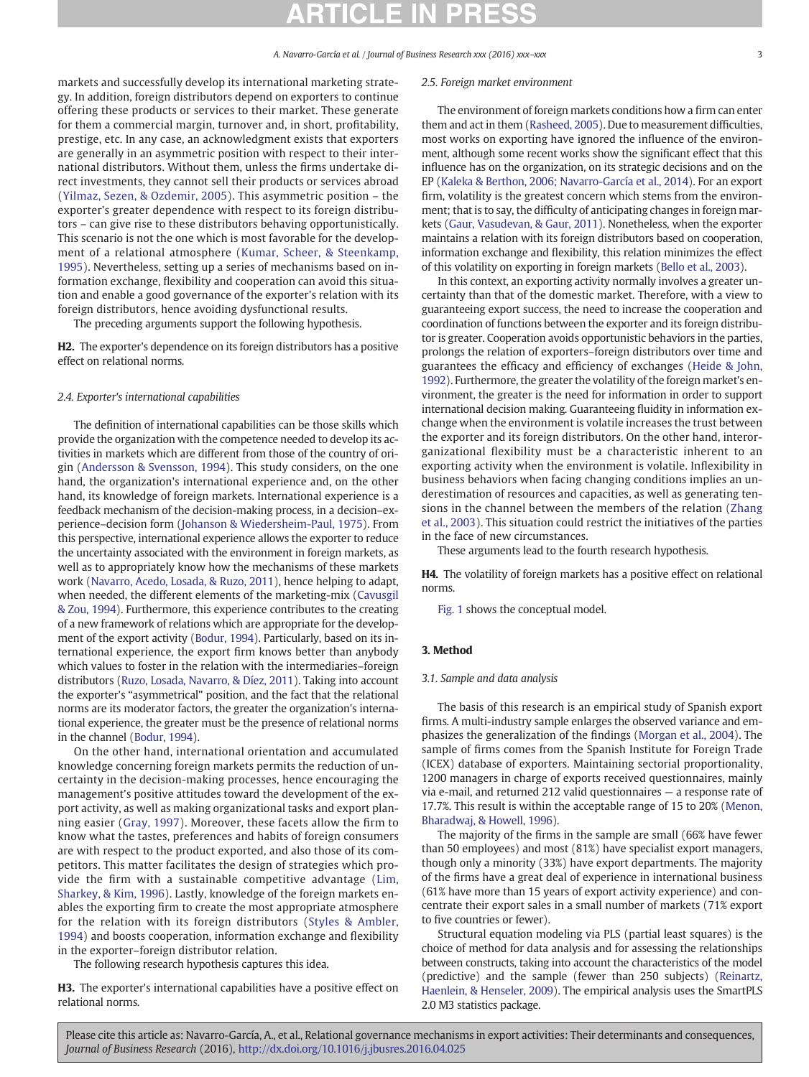<span id="page-2-0"></span>markets and successfully develop its international marketing strategy. In addition, foreign distributors depend on exporters to continue offering these products or services to their market. These generate for them a commercial margin, turnover and, in short, profitability, prestige, etc. In any case, an acknowledgment exists that exporters are generally in an asymmetric position with respect to their international distributors. Without them, unless the firms undertake direct investments, they cannot sell their products or services abroad [\(Yilmaz, Sezen, & Ozdemir, 2005](#page-6-0)). This asymmetric position – the exporter's greater dependence with respect to its foreign distributors – can give rise to these distributors behaving opportunistically. This scenario is not the one which is most favorable for the development of a relational atmosphere ([Kumar, Scheer, & Steenkamp,](#page-6-0) [1995](#page-6-0)). Nevertheless, setting up a series of mechanisms based on information exchange, flexibility and cooperation can avoid this situation and enable a good governance of the exporter's relation with its foreign distributors, hence avoiding dysfunctional results.

The preceding arguments support the following hypothesis.

H2. The exporter's dependence on its foreign distributors has a positive effect on relational norms.

#### 2.4. Exporter's international capabilities

The definition of international capabilities can be those skills which provide the organization with the competence needed to develop its activities in markets which are different from those of the country of origin [\(Andersson & Svensson, 1994](#page-5-0)). This study considers, on the one hand, the organization's international experience and, on the other hand, its knowledge of foreign markets. International experience is a feedback mechanism of the decision-making process, in a decision–experience–decision form ([Johanson & Wiedersheim-Paul, 1975](#page-6-0)). From this perspective, international experience allows the exporter to reduce the uncertainty associated with the environment in foreign markets, as well as to appropriately know how the mechanisms of these markets work [\(Navarro, Acedo, Losada, & Ruzo, 2011\)](#page-6-0), hence helping to adapt, when needed, the different elements of the marketing-mix [\(Cavusgil](#page-6-0) [& Zou, 1994](#page-6-0)). Furthermore, this experience contributes to the creating of a new framework of relations which are appropriate for the development of the export activity ([Bodur, 1994\)](#page-6-0). Particularly, based on its international experience, the export firm knows better than anybody which values to foster in the relation with the intermediaries–foreign distributors [\(Ruzo, Losada, Navarro, & Díez, 2011](#page-6-0)). Taking into account the exporter's "asymmetrical" position, and the fact that the relational norms are its moderator factors, the greater the organization's international experience, the greater must be the presence of relational norms in the channel ([Bodur, 1994\)](#page-6-0).

On the other hand, international orientation and accumulated knowledge concerning foreign markets permits the reduction of uncertainty in the decision-making processes, hence encouraging the management's positive attitudes toward the development of the export activity, as well as making organizational tasks and export planning easier ([Gray, 1997](#page-6-0)). Moreover, these facets allow the firm to know what the tastes, preferences and habits of foreign consumers are with respect to the product exported, and also those of its competitors. This matter facilitates the design of strategies which provide the firm with a sustainable competitive advantage ([Lim,](#page-6-0) [Sharkey, & Kim, 1996](#page-6-0)). Lastly, knowledge of the foreign markets enables the exporting firm to create the most appropriate atmosphere for the relation with its foreign distributors [\(Styles & Ambler,](#page-6-0) [1994](#page-6-0)) and boosts cooperation, information exchange and flexibility in the exporter–foreign distributor relation.

The following research hypothesis captures this idea.

H3. The exporter's international capabilities have a positive effect on relational norms.

#### 2.5. Foreign market environment

The environment of foreign markets conditions how a firm can enter them and act in them [\(Rasheed, 2005\)](#page-6-0). Due to measurement difficulties, most works on exporting have ignored the influence of the environment, although some recent works show the significant effect that this influence has on the organization, on its strategic decisions and on the EP ([Kaleka & Berthon, 2006; Navarro-García et al., 2014\)](#page-6-0). For an export firm, volatility is the greatest concern which stems from the environment; that is to say, the difficulty of anticipating changes in foreign markets ([Gaur, Vasudevan, & Gaur, 2011\)](#page-6-0). Nonetheless, when the exporter maintains a relation with its foreign distributors based on cooperation, information exchange and flexibility, this relation minimizes the effect of this volatility on exporting in foreign markets ([Bello et al., 2003\)](#page-5-0).

In this context, an exporting activity normally involves a greater uncertainty than that of the domestic market. Therefore, with a view to guaranteeing export success, the need to increase the cooperation and coordination of functions between the exporter and its foreign distributor is greater. Cooperation avoids opportunistic behaviors in the parties, prolongs the relation of exporters–foreign distributors over time and guarantees the efficacy and efficiency of exchanges ([Heide & John,](#page-6-0) [1992](#page-6-0)). Furthermore, the greater the volatility of the foreign market's environment, the greater is the need for information in order to support international decision making. Guaranteeing fluidity in information exchange when the environment is volatile increases the trust between the exporter and its foreign distributors. On the other hand, interorganizational flexibility must be a characteristic inherent to an exporting activity when the environment is volatile. Inflexibility in business behaviors when facing changing conditions implies an underestimation of resources and capacities, as well as generating tensions in the channel between the members of the relation [\(Zhang](#page-6-0) [et al., 2003](#page-6-0)). This situation could restrict the initiatives of the parties in the face of new circumstances.

These arguments lead to the fourth research hypothesis.

H4. The volatility of foreign markets has a positive effect on relational norms.

[Fig. 1](#page-3-0) shows the conceptual model.

#### 3. Method

#### 3.1. Sample and data analysis

The basis of this research is an empirical study of Spanish export firms. A multi-industry sample enlarges the observed variance and emphasizes the generalization of the findings [\(Morgan et al., 2004\)](#page-6-0). The sample of firms comes from the Spanish Institute for Foreign Trade (ICEX) database of exporters. Maintaining sectorial proportionality, 1200 managers in charge of exports received questionnaires, mainly via e-mail, and returned 212 valid questionnaires — a response rate of 17.7%. This result is within the acceptable range of 15 to 20% [\(Menon,](#page-6-0) [Bharadwaj, & Howell, 1996\)](#page-6-0).

The majority of the firms in the sample are small (66% have fewer than 50 employees) and most (81%) have specialist export managers, though only a minority (33%) have export departments. The majority of the firms have a great deal of experience in international business (61% have more than 15 years of export activity experience) and concentrate their export sales in a small number of markets (71% export to five countries or fewer).

Structural equation modeling via PLS (partial least squares) is the choice of method for data analysis and for assessing the relationships between constructs, taking into account the characteristics of the model (predictive) and the sample (fewer than 250 subjects) ([Reinartz,](#page-6-0) [Haenlein, & Henseler, 2009](#page-6-0)). The empirical analysis uses the SmartPLS 2.0 M3 statistics package.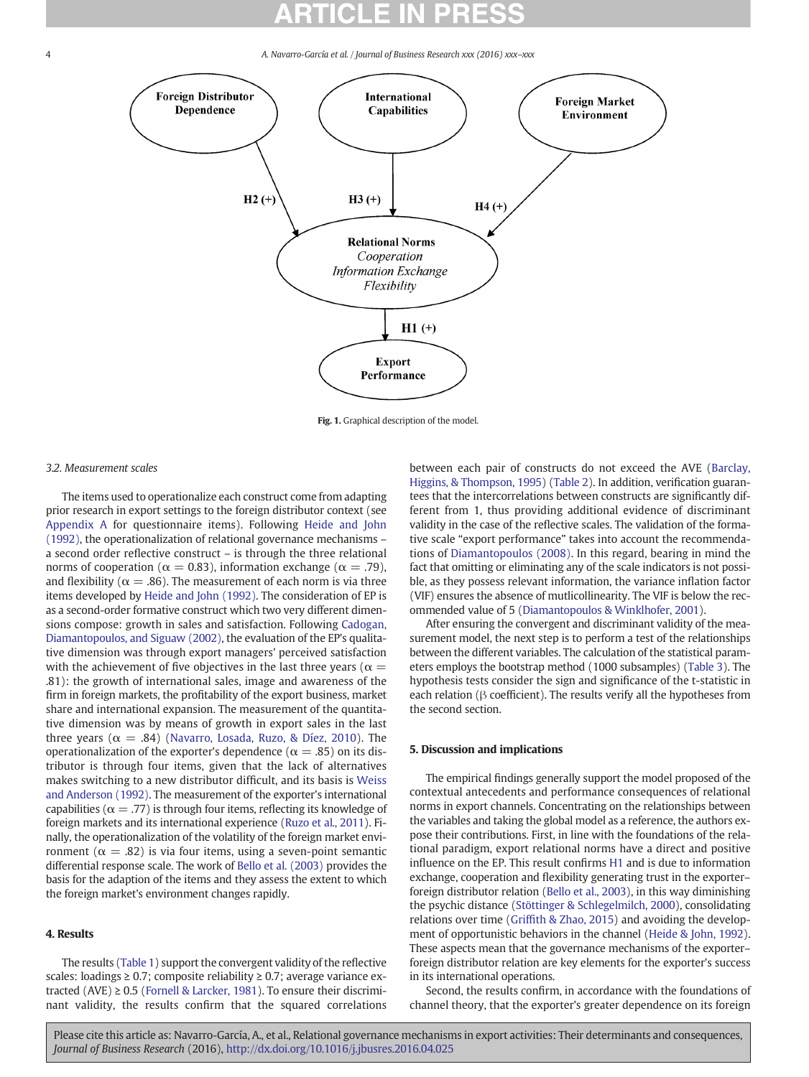<span id="page-3-0"></span>

Fig. 1. Graphical description of the model.

#### 3.2. Measurement scales

The items used to operationalize each construct come from adapting prior research in export settings to the foreign distributor context (see [Appendix A](#page-5-0) for questionnaire items). Following [Heide and John](#page-6-0) [\(1992\),](#page-6-0) the operationalization of relational governance mechanisms – a second order reflective construct – is through the three relational norms of cooperation ( $\alpha = 0.83$ ), information exchange ( $\alpha = .79$ ), and flexibility ( $\alpha = .86$ ). The measurement of each norm is via three items developed by [Heide and John \(1992\)](#page-6-0). The consideration of EP is as a second-order formative construct which two very different dimensions compose: growth in sales and satisfaction. Following [Cadogan,](#page-6-0) [Diamantopoulos, and Siguaw \(2002\)](#page-6-0), the evaluation of the EP's qualitative dimension was through export managers' perceived satisfaction with the achievement of five objectives in the last three years ( $\alpha =$ .81): the growth of international sales, image and awareness of the firm in foreign markets, the profitability of the export business, market share and international expansion. The measurement of the quantitative dimension was by means of growth in export sales in the last three years ( $\alpha = .84$ ) [\(Navarro, Losada, Ruzo, & Díez, 2010\)](#page-6-0). The operationalization of the exporter's dependence ( $\alpha = .85$ ) on its distributor is through four items, given that the lack of alternatives makes switching to a new distributor difficult, and its basis is [Weiss](#page-6-0) [and Anderson \(1992\).](#page-6-0) The measurement of the exporter's international capabilities ( $\alpha = .77$ ) is through four items, reflecting its knowledge of foreign markets and its international experience [\(Ruzo et al., 2011](#page-6-0)). Finally, the operationalization of the volatility of the foreign market environment ( $\alpha = .82$ ) is via four items, using a seven-point semantic differential response scale. The work of [Bello et al. \(2003\)](#page-5-0) provides the basis for the adaption of the items and they assess the extent to which the foreign market's environment changes rapidly.

#### 4. Results

The results ([Table 1\)](#page-4-0) support the convergent validity of the reflective scales: loadings  $\geq 0.7$ ; composite reliability  $\geq 0.7$ ; average variance extracted (AVE)  $\geq$  0.5 [\(Fornell & Larcker, 1981](#page-6-0)). To ensure their discriminant validity, the results confirm that the squared correlations between each pair of constructs do not exceed the AVE [\(Barclay,](#page-5-0) [Higgins, & Thompson, 1995\)](#page-5-0) ([Table 2](#page-4-0)). In addition, verification guarantees that the intercorrelations between constructs are significantly different from 1, thus providing additional evidence of discriminant validity in the case of the reflective scales. The validation of the formative scale "export performance" takes into account the recommendations of [Diamantopoulos \(2008\).](#page-6-0) In this regard, bearing in mind the fact that omitting or eliminating any of the scale indicators is not possible, as they possess relevant information, the variance inflation factor (VIF) ensures the absence of mutlicollinearity. The VIF is below the recommended value of 5 ([Diamantopoulos & Winklhofer, 2001\)](#page-6-0).

After ensuring the convergent and discriminant validity of the measurement model, the next step is to perform a test of the relationships between the different variables. The calculation of the statistical parameters employs the bootstrap method (1000 subsamples) ([Table 3](#page-4-0)). The hypothesis tests consider the sign and significance of the t-statistic in each relation ( $\beta$  coefficient). The results verify all the hypotheses from the second section.

#### 5. Discussion and implications

The empirical findings generally support the model proposed of the contextual antecedents and performance consequences of relational norms in export channels. Concentrating on the relationships between the variables and taking the global model as a reference, the authors expose their contributions. First, in line with the foundations of the relational paradigm, export relational norms have a direct and positive influence on the EP. This result confirms [H1](#page-1-0) and is due to information exchange, cooperation and flexibility generating trust in the exporter– foreign distributor relation ([Bello et al., 2003](#page-5-0)), in this way diminishing the psychic distance [\(Stöttinger & Schlegelmilch, 2000](#page-6-0)), consolidating relations over time (Griffi[th & Zhao, 2015](#page-6-0)) and avoiding the development of opportunistic behaviors in the channel ([Heide & John, 1992](#page-6-0)). These aspects mean that the governance mechanisms of the exporter– foreign distributor relation are key elements for the exporter's success in its international operations.

Second, the results confirm, in accordance with the foundations of channel theory, that the exporter's greater dependence on its foreign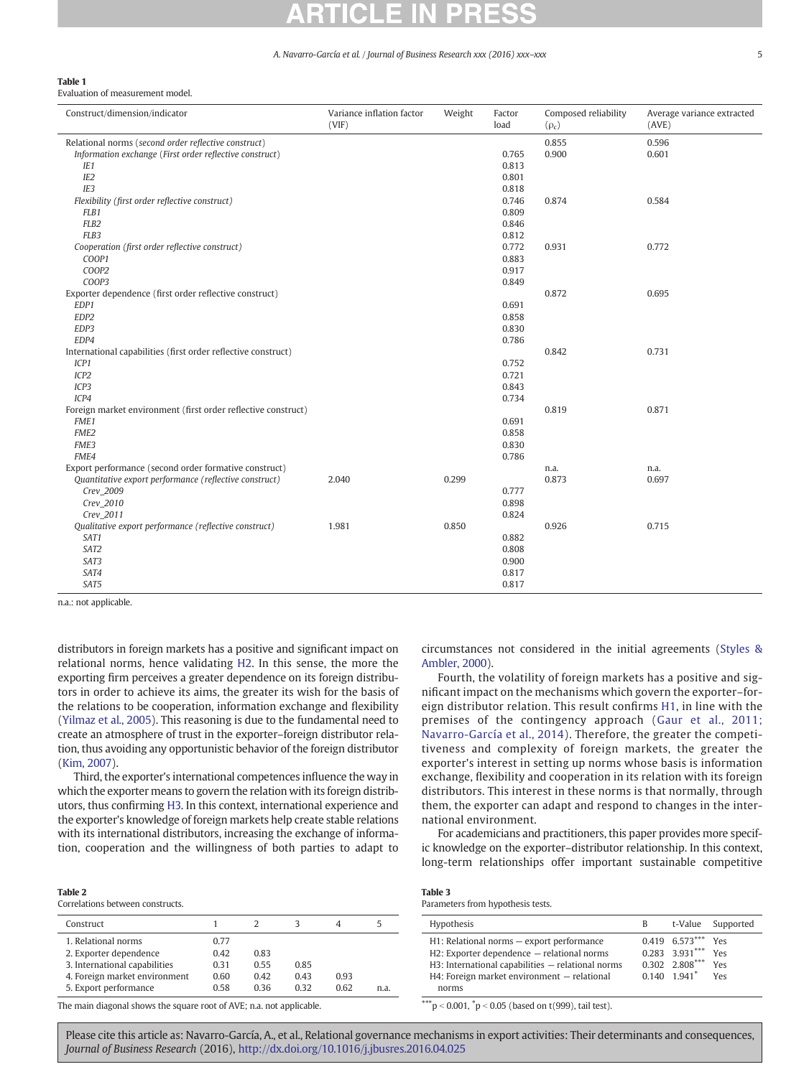### <span id="page-4-0"></span>Table 1

Evaluation of measurement model.

| Construct/dimension/indicator                                 | Variance inflation factor<br>(VIF) | Weight | Factor<br>load | Composed reliability<br>$(\rho_c)$ | Average variance extracted<br>(AVE) |
|---------------------------------------------------------------|------------------------------------|--------|----------------|------------------------------------|-------------------------------------|
| Relational norms (second order reflective construct)          |                                    |        |                | 0.855                              | 0.596                               |
| Information exchange (First order reflective construct)       |                                    |        | 0.765          | 0.900                              | 0.601                               |
| IE1                                                           |                                    |        | 0.813          |                                    |                                     |
| IE2                                                           |                                    |        | 0.801          |                                    |                                     |
| IE3                                                           |                                    |        | 0.818          |                                    |                                     |
| Flexibility (first order reflective construct)                |                                    |        | 0.746          | 0.874                              | 0.584                               |
| FLB1                                                          |                                    |        | 0.809          |                                    |                                     |
| FLB2                                                          |                                    |        | 0.846          |                                    |                                     |
| FLB3                                                          |                                    |        | 0.812          |                                    |                                     |
| Cooperation (first order reflective construct)                |                                    |        | 0.772          | 0.931                              | 0.772                               |
| COOP1                                                         |                                    |        | 0.883          |                                    |                                     |
| COOP2                                                         |                                    |        | 0.917          |                                    |                                     |
| COOP3                                                         |                                    |        | 0.849          |                                    |                                     |
| Exporter dependence (first order reflective construct)        |                                    |        |                | 0.872                              | 0.695                               |
| EDP1                                                          |                                    |        | 0.691          |                                    |                                     |
| EDP2                                                          |                                    |        | 0.858          |                                    |                                     |
| EDP3                                                          |                                    |        | 0.830          |                                    |                                     |
| EDP4                                                          |                                    |        | 0.786          |                                    |                                     |
| International capabilities (first order reflective construct) |                                    |        |                | 0.842                              | 0.731                               |
| ICP1                                                          |                                    |        | 0.752          |                                    |                                     |
| ICP2                                                          |                                    |        | 0.721          |                                    |                                     |
| ICP3                                                          |                                    |        | 0.843          |                                    |                                     |
| ICP4                                                          |                                    |        | 0.734          |                                    |                                     |
| Foreign market environment (first order reflective construct) |                                    |        |                | 0.819                              | 0.871                               |
| FME1                                                          |                                    |        | 0.691          |                                    |                                     |
| FME <sub>2</sub>                                              |                                    |        | 0.858          |                                    |                                     |
| FME3                                                          |                                    |        | 0.830          |                                    |                                     |
| FME4                                                          |                                    |        | 0.786          |                                    |                                     |
| Export performance (second order formative construct)         |                                    |        |                | n.a.                               | n.a.                                |
| Quantitative export performance (reflective construct)        | 2.040                              | 0.299  |                | 0.873                              | 0.697                               |
| Crev_2009                                                     |                                    |        | 0.777          |                                    |                                     |
| Crev_2010                                                     |                                    |        | 0.898          |                                    |                                     |
| Crev 2011                                                     |                                    |        | 0.824          |                                    |                                     |
| Qualitative export performance (reflective construct)         | 1.981                              | 0.850  |                | 0.926                              | 0.715                               |
| SAT1                                                          |                                    |        | 0.882          |                                    |                                     |
| SAT2                                                          |                                    |        | 0.808          |                                    |                                     |
| SAT3                                                          |                                    |        | 0.900          |                                    |                                     |
| SAT4                                                          |                                    |        | 0.817          |                                    |                                     |
| SAT5                                                          |                                    |        | 0.817          |                                    |                                     |

n.a.: not applicable.

distributors in foreign markets has a positive and significant impact on relational norms, hence validating [H2](#page-2-0). In this sense, the more the exporting firm perceives a greater dependence on its foreign distributors in order to achieve its aims, the greater its wish for the basis of the relations to be cooperation, information exchange and flexibility [\(Yilmaz et al., 2005](#page-6-0)). This reasoning is due to the fundamental need to create an atmosphere of trust in the exporter–foreign distributor relation, thus avoiding any opportunistic behavior of the foreign distributor [\(Kim, 2007](#page-6-0)).

Third, the exporter's international competences influence the way in which the exporter means to govern the relation with its foreign distributors, thus confirming [H3](#page-2-0). In this context, international experience and the exporter's knowledge of foreign markets help create stable relations with its international distributors, increasing the exchange of information, cooperation and the willingness of both parties to adapt to

Correlations between constructs.

| 0.83 |      |      |     |
|------|------|------|-----|
| 0.55 | 0.85 |      |     |
| 0.42 | 0.43 | 0.93 |     |
| 0.36 | 0.32 | 0.62 | n a |
|      |      |      |     |

The main diagonal shows the square root of AVE; n.a. not applicable.

circumstances not considered in the initial agreements [\(Styles &](#page-6-0) [Ambler, 2000](#page-6-0)).

Fourth, the volatility of foreign markets has a positive and significant impact on the mechanisms which govern the exporter–foreign distributor relation. This result confirms [H1,](#page-1-0) in line with the premises of the contingency approach ([Gaur et al., 2011;](#page-6-0) [Navarro-García et al., 2014](#page-6-0)). Therefore, the greater the competitiveness and complexity of foreign markets, the greater the exporter's interest in setting up norms whose basis is information exchange, flexibility and cooperation in its relation with its foreign distributors. This interest in these norms is that normally, through them, the exporter can adapt and respond to changes in the international environment.

For academicians and practitioners, this paper provides more specific knowledge on the exporter–distributor relationship. In this context, long-term relationships offer important sustainable competitive

| rable 3                           |  |  |
|-----------------------------------|--|--|
| Parameters from hypothesis tests. |  |  |

 $T = 3$ 

| <b>Hypothesis</b>                                 | B |                                  | t-Value Supported |
|---------------------------------------------------|---|----------------------------------|-------------------|
| H1: Relational norms - export performance         |   | $0.419$ 6.573 <sup>***</sup>     | Yes               |
| H2: Exporter dependence - relational norms        |   | $0.283$ 3.931***                 | Yes               |
| H3: International capabilities - relational norms |   | $0.302$ $2.808***$               | Yes               |
| H4: Foreign market environment - relational       |   | $0.140 \quad 1.941$ <sup>*</sup> | Yes               |
| norms                                             |   |                                  |                   |

 $^{***}$ p < 0.001,  $^{*}$ p < 0.05 (based on t(999), tail test).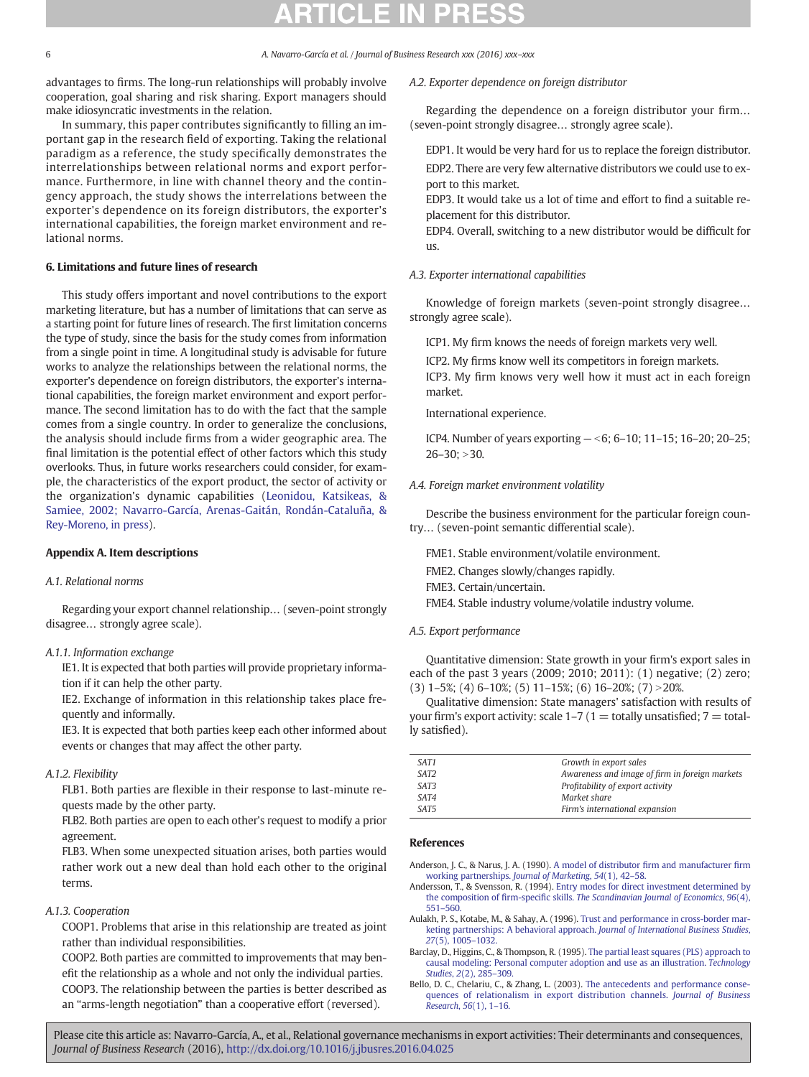<span id="page-5-0"></span>advantages to firms. The long-run relationships will probably involve cooperation, goal sharing and risk sharing. Export managers should make idiosyncratic investments in the relation.

In summary, this paper contributes significantly to filling an important gap in the research field of exporting. Taking the relational paradigm as a reference, the study specifically demonstrates the interrelationships between relational norms and export performance. Furthermore, in line with channel theory and the contingency approach, the study shows the interrelations between the exporter's dependence on its foreign distributors, the exporter's international capabilities, the foreign market environment and relational norms.

### 6. Limitations and future lines of research

This study offers important and novel contributions to the export marketing literature, but has a number of limitations that can serve as a starting point for future lines of research. The first limitation concerns the type of study, since the basis for the study comes from information from a single point in time. A longitudinal study is advisable for future works to analyze the relationships between the relational norms, the exporter's dependence on foreign distributors, the exporter's international capabilities, the foreign market environment and export performance. The second limitation has to do with the fact that the sample comes from a single country. In order to generalize the conclusions, the analysis should include firms from a wider geographic area. The final limitation is the potential effect of other factors which this study overlooks. Thus, in future works researchers could consider, for example, the characteristics of the export product, the sector of activity or the organization's dynamic capabilities [\(Leonidou, Katsikeas, &](#page-6-0) [Samiee, 2002; Navarro-García, Arenas-Gaitán, Rondán-Cataluña, &](#page-6-0) [Rey-Moreno, in press](#page-6-0)).

#### Appendix A. Item descriptions

#### A.1. Relational norms

Regarding your export channel relationship… (seven-point strongly disagree… strongly agree scale).

#### A.1.1. Information exchange

IE1. It is expected that both parties will provide proprietary information if it can help the other party.

IE2. Exchange of information in this relationship takes place frequently and informally.

IE3. It is expected that both parties keep each other informed about events or changes that may affect the other party.

#### A.1.2. Flexibility

FLB1. Both parties are flexible in their response to last-minute requests made by the other party.

FLB2. Both parties are open to each other's request to modify a prior agreement.

FLB3. When some unexpected situation arises, both parties would rather work out a new deal than hold each other to the original terms.

### A.1.3. Cooperation

COOP1. Problems that arise in this relationship are treated as joint rather than individual responsibilities.

COOP2. Both parties are committed to improvements that may benefit the relationship as a whole and not only the individual parties. COOP3. The relationship between the parties is better described as an "arms-length negotiation" than a cooperative effort (reversed).

A.2. Exporter dependence on foreign distributor

Regarding the dependence on a foreign distributor your firm… (seven-point strongly disagree… strongly agree scale).

EDP1. It would be very hard for us to replace the foreign distributor.

EDP2. There are very few alternative distributors we could use to export to this market.

EDP3. It would take us a lot of time and effort to find a suitable replacement for this distributor.

EDP4. Overall, switching to a new distributor would be difficult for us.

#### A.3. Exporter international capabilities

Knowledge of foreign markets (seven-point strongly disagree… strongly agree scale).

ICP1. My firm knows the needs of foreign markets very well.

ICP2. My firms know well its competitors in foreign markets.

ICP3. My firm knows very well how it must act in each foreign market.

International experience.

ICP4. Number of years exporting  $-$  <6; 6–10; 11–15; 16–20; 20–25;  $26 - 30$ ;  $> 30$ .

#### A.4. Foreign market environment volatility

Describe the business environment for the particular foreign country… (seven-point semantic differential scale).

FME1. Stable environment/volatile environment.

- FME2. Changes slowly/changes rapidly.
- FME3. Certain/uncertain.
- FME4. Stable industry volume/volatile industry volume.

### A.5. Export performance

Quantitative dimension: State growth in your firm's export sales in each of the past 3 years (2009; 2010; 2011): (1) negative; (2) zero; (3)  $1-5\%$ ; (4)  $6-10\%$ ; (5)  $11-15\%$ ; (6)  $16-20\%$ ; (7)  $>20\%$ .

Qualitative dimension: State managers' satisfaction with results of your firm's export activity: scale  $1-7$  ( $1 =$  totally unsatisfied;  $7 =$  totally satisfied).

| SAT1             | Growth in export sales                         |
|------------------|------------------------------------------------|
| SAT <sub>2</sub> | Awareness and image of firm in foreign markets |
| SAT3             | Profitability of export activity               |
| SAT4             | Market share                                   |
| SAT <sub>5</sub> | Firm's international expansion                 |

#### References

Anderson, J. C., & Narus, J. A. (1990). [A model of distributor](http://refhub.elsevier.com/S0148-2963(16)30188-6/rf0005) firm and manufacturer firm [working partnerships.](http://refhub.elsevier.com/S0148-2963(16)30188-6/rf0005) Journal of Marketing, 54(1), 42–58.

- Andersson, T., & Svensson, R. (1994). [Entry modes for direct investment determined by](http://refhub.elsevier.com/S0148-2963(16)30188-6/rf0010) the composition of firm-specific skills. [The Scandinavian Journal of Economics](http://refhub.elsevier.com/S0148-2963(16)30188-6/rf0010), 96(4), 551–[560.](http://refhub.elsevier.com/S0148-2963(16)30188-6/rf0010)
- Aulakh, P. S., Kotabe, M., & Sahay, A. (1996). [Trust and performance in cross-border mar](http://refhub.elsevier.com/S0148-2963(16)30188-6/rf0015)[keting partnerships: A behavioral approach.](http://refhub.elsevier.com/S0148-2963(16)30188-6/rf0015) Journal of International Business Studies, 27[\(5\), 1005](http://refhub.elsevier.com/S0148-2963(16)30188-6/rf0015)–1032.
- Barclay, D., Higgins, C., & Thompson, R. (1995). [The partial least squares \(PLS\) approach to](http://refhub.elsevier.com/S0148-2963(16)30188-6/rf0020) [causal modeling: Personal computer adoption and use as an illustration.](http://refhub.elsevier.com/S0148-2963(16)30188-6/rf0020) Technology Studies, 2[\(2\), 285](http://refhub.elsevier.com/S0148-2963(16)30188-6/rf0020)–309.
- Bello, D. C., Chelariu, C., & Zhang, L. (2003). [The antecedents and performance conse](http://refhub.elsevier.com/S0148-2963(16)30188-6/rf0025)[quences of relationalism in export distribution channels.](http://refhub.elsevier.com/S0148-2963(16)30188-6/rf0025) Journal of Business [Research](http://refhub.elsevier.com/S0148-2963(16)30188-6/rf0025), 56(1), 1–16.